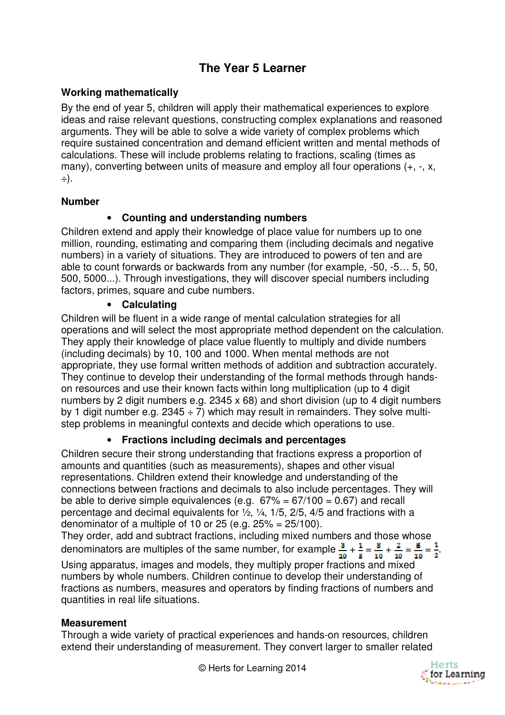# **The Year 5 Learner**

## **Working mathematically**

By the end of year 5, children will apply their mathematical experiences to explore ideas and raise relevant questions, constructing complex explanations and reasoned arguments. They will be able to solve a wide variety of complex problems which require sustained concentration and demand efficient written and mental methods of calculations. These will include problems relating to fractions, scaling (times as many), converting between units of measure and employ all four operations (+, -, x, ÷).

#### **Number**

# • **Counting and understanding numbers**

Children extend and apply their knowledge of place value for numbers up to one million, rounding, estimating and comparing them (including decimals and negative numbers) in a variety of situations. They are introduced to powers of ten and are able to count forwards or backwards from any number (for example, -50, -5… 5, 50, 500, 5000...). Through investigations, they will discover special numbers including factors, primes, square and cube numbers.

# • **Calculating**

Children will be fluent in a wide range of mental calculation strategies for all operations and will select the most appropriate method dependent on the calculation. They apply their knowledge of place value fluently to multiply and divide numbers (including decimals) by 10, 100 and 1000. When mental methods are not appropriate, they use formal written methods of addition and subtraction accurately. They continue to develop their understanding of the formal methods through handson resources and use their known facts within long multiplication (up to 4 digit numbers by 2 digit numbers e.g. 2345 x 68) and short division (up to 4 digit numbers by 1 digit number e.g.  $2345 \div 7$ ) which may result in remainders. They solve multistep problems in meaningful contexts and decide which operations to use.

## • **Fractions including decimals and percentages**

Children secure their strong understanding that fractions express a proportion of amounts and quantities (such as measurements), shapes and other visual representations. Children extend their knowledge and understanding of the connections between fractions and decimals to also include percentages. They will be able to derive simple equivalences (e.g.  $67\% = 67/100 = 0.67$ ) and recall percentage and decimal equivalents for ½, ¼, 1/5, 2/5, 4/5 and fractions with a denominator of a multiple of 10 or 25 (e.g.  $25\% = 25/100$ ).

They order, add and subtract fractions, including mixed numbers and those whose denominators are multiples of the same number, for example  $\frac{3}{10} + \frac{1}{5} = \frac{3}{10} + \frac{2}{10} = \frac{5}{10} = \frac{1}{2}$ .

Using apparatus, images and models, they multiply proper fractions and mixed numbers by whole numbers. Children continue to develop their understanding of fractions as numbers, measures and operators by finding fractions of numbers and quantities in real life situations.

## **Measurement**

Through a wide variety of practical experiences and hands-on resources, children extend their understanding of measurement. They convert larger to smaller related